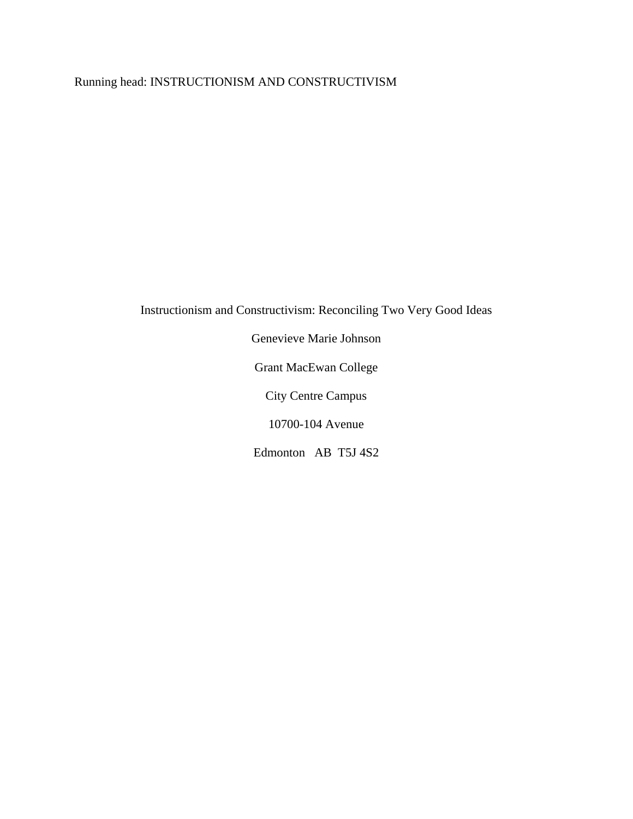# Running head: INSTRUCTIONISM AND CONSTRUCTIVISM

Instructionism and Constructivism: Reconciling Two Very Good Ideas

Genevieve Marie Johnson Grant MacEwan College City Centre Campus 10700-104 Avenue

Edmonton AB T5J 4S2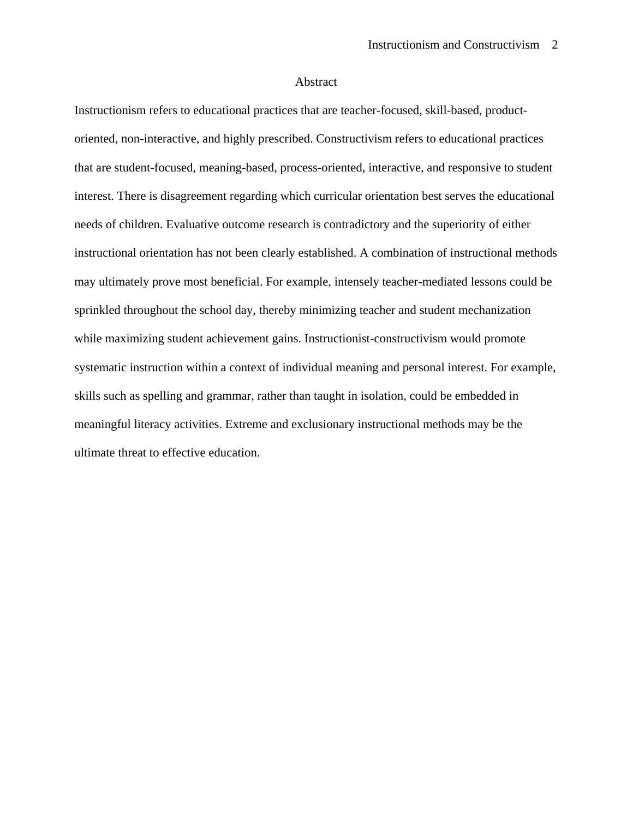## Abstract

Instructionism refers to educational practices that are teacher-focused, skill-based, productoriented, non-interactive, and highly prescribed. Constructivism refers to educational practices that are student-focused, meaning-based, process-oriented, interactive, and responsive to student interest. There is disagreement regarding which curricular orientation best serves the educational needs of children. Evaluative outcome research is contradictory and the superiority of either instructional orientation has not been clearly established. A combination of instructional methods may ultimately prove most beneficial. For example, intensely teacher-mediated lessons could be sprinkled throughout the school day, thereby minimizing teacher and student mechanization while maximizing student achievement gains. Instructionist-constructivism would promote systematic instruction within a context of individual meaning and personal interest. For example, skills such as spelling and grammar, rather than taught in isolation, could be embedded in meaningful literacy activities. Extreme and exclusionary instructional methods may be the ultimate threat to effective education.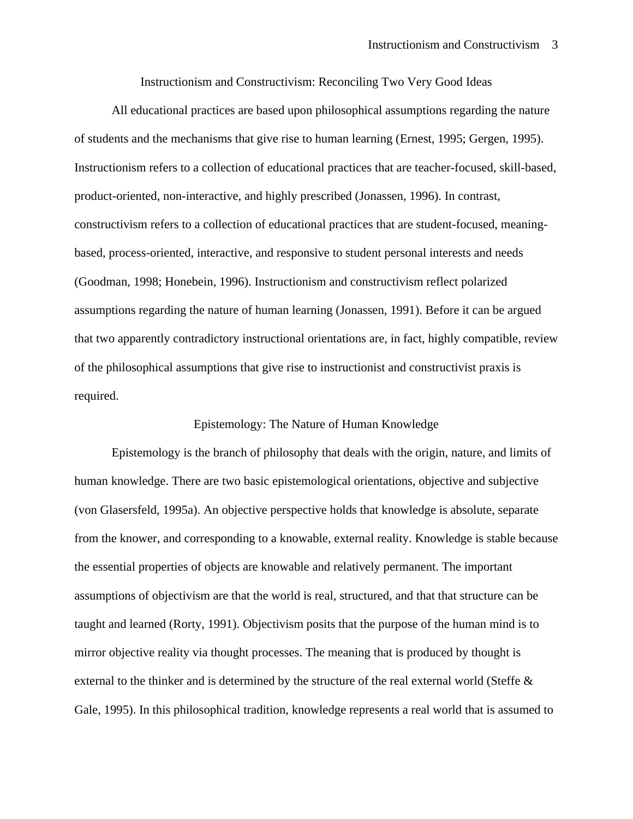Instructionism and Constructivism: Reconciling Two Very Good Ideas

All educational practices are based upon philosophical assumptions regarding the nature of students and the mechanisms that give rise to human learning (Ernest, 1995; Gergen, 1995). Instructionism refers to a collection of educational practices that are teacher-focused, skill-based, product-oriented, non-interactive, and highly prescribed (Jonassen, 1996). In contrast, constructivism refers to a collection of educational practices that are student-focused, meaningbased, process-oriented, interactive, and responsive to student personal interests and needs (Goodman, 1998; Honebein, 1996). Instructionism and constructivism reflect polarized assumptions regarding the nature of human learning (Jonassen, 1991). Before it can be argued that two apparently contradictory instructional orientations are, in fact, highly compatible, review of the philosophical assumptions that give rise to instructionist and constructivist praxis is required.

## Epistemology: The Nature of Human Knowledge

Epistemology is the branch of philosophy that deals with the origin, nature, and limits of human knowledge. There are two basic epistemological orientations, objective and subjective (von Glasersfeld, 1995a). An objective perspective holds that knowledge is absolute, separate from the knower, and corresponding to a knowable, external reality. Knowledge is stable because the essential properties of objects are knowable and relatively permanent. The important assumptions of objectivism are that the world is real, structured, and that that structure can be taught and learned (Rorty, 1991). Objectivism posits that the purpose of the human mind is to mirror objective reality via thought processes. The meaning that is produced by thought is external to the thinker and is determined by the structure of the real external world (Steffe & Gale, 1995). In this philosophical tradition, knowledge represents a real world that is assumed to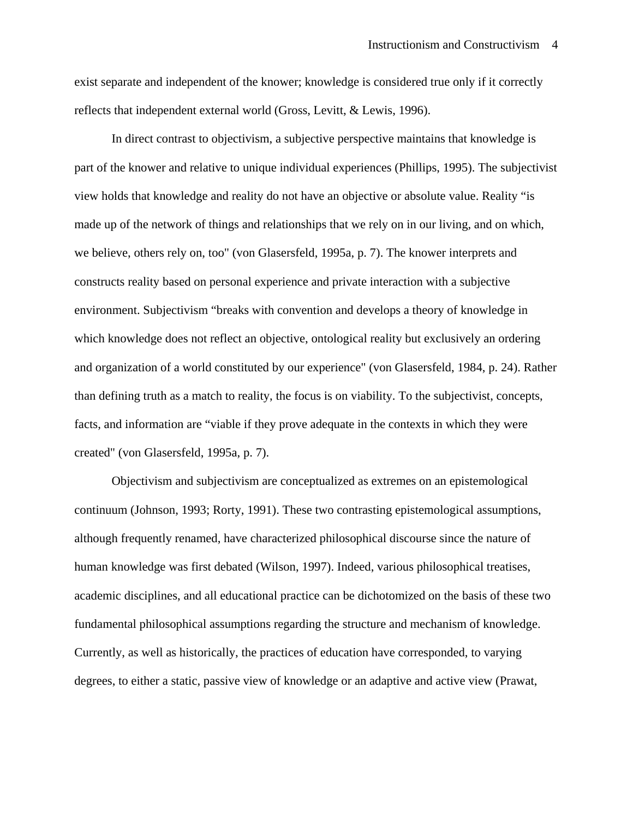exist separate and independent of the knower; knowledge is considered true only if it correctly reflects that independent external world (Gross, Levitt, & Lewis, 1996).

In direct contrast to objectivism, a subjective perspective maintains that knowledge is part of the knower and relative to unique individual experiences (Phillips, 1995). The subjectivist view holds that knowledge and reality do not have an objective or absolute value. Reality "is made up of the network of things and relationships that we rely on in our living, and on which, we believe, others rely on, too" (von Glasersfeld, 1995a, p. 7). The knower interprets and constructs reality based on personal experience and private interaction with a subjective environment. Subjectivism "breaks with convention and develops a theory of knowledge in which knowledge does not reflect an objective, ontological reality but exclusively an ordering and organization of a world constituted by our experience" (von Glasersfeld, 1984, p. 24). Rather than defining truth as a match to reality, the focus is on viability. To the subjectivist, concepts, facts, and information are "viable if they prove adequate in the contexts in which they were created" (von Glasersfeld, 1995a, p. 7).

Objectivism and subjectivism are conceptualized as extremes on an epistemological continuum (Johnson, 1993; Rorty, 1991). These two contrasting epistemological assumptions, although frequently renamed, have characterized philosophical discourse since the nature of human knowledge was first debated (Wilson, 1997). Indeed, various philosophical treatises, academic disciplines, and all educational practice can be dichotomized on the basis of these two fundamental philosophical assumptions regarding the structure and mechanism of knowledge. Currently, as well as historically, the practices of education have corresponded, to varying degrees, to either a static, passive view of knowledge or an adaptive and active view (Prawat,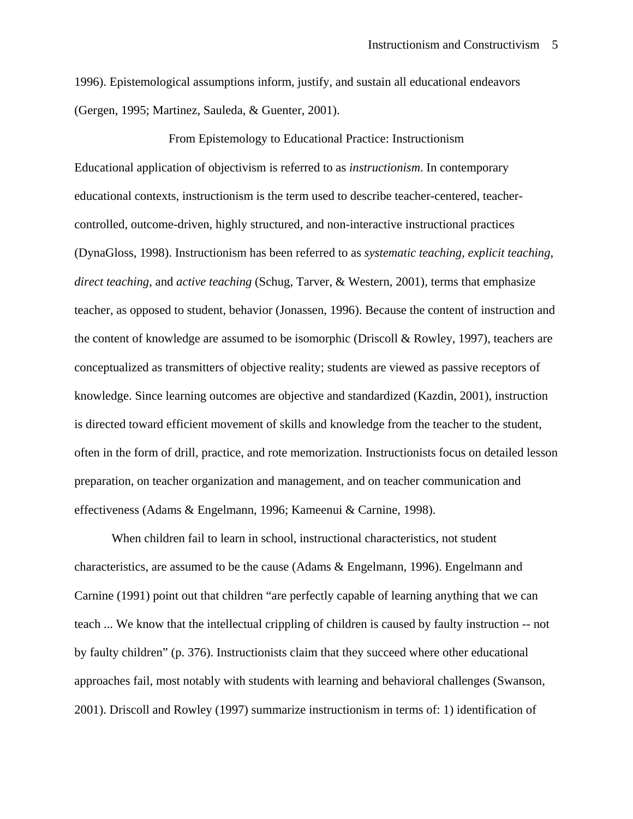1996). Epistemological assumptions inform, justify, and sustain all educational endeavors (Gergen, 1995; Martinez, Sauleda, & Guenter, 2001).

From Epistemology to Educational Practice: Instructionism Educational application of objectivism is referred to as *instructionism*. In contemporary educational contexts, instructionism is the term used to describe teacher-centered, teachercontrolled, outcome-driven, highly structured, and non-interactive instructional practices (DynaGloss, 1998). Instructionism has been referred to as *systematic teaching*, *explicit teaching*, *direct teaching*, and *active teaching* (Schug, Tarver, & Western, 2001), terms that emphasize teacher, as opposed to student, behavior (Jonassen, 1996). Because the content of instruction and the content of knowledge are assumed to be isomorphic (Driscoll & Rowley, 1997), teachers are conceptualized as transmitters of objective reality; students are viewed as passive receptors of knowledge. Since learning outcomes are objective and standardized (Kazdin, 2001), instruction is directed toward efficient movement of skills and knowledge from the teacher to the student, often in the form of drill, practice, and rote memorization. Instructionists focus on detailed lesson preparation, on teacher organization and management, and on teacher communication and effectiveness (Adams & Engelmann, 1996; Kameenui & Carnine, 1998).

When children fail to learn in school, instructional characteristics, not student characteristics, are assumed to be the cause (Adams & Engelmann, 1996). Engelmann and Carnine (1991) point out that children "are perfectly capable of learning anything that we can teach ... We know that the intellectual crippling of children is caused by faulty instruction -- not by faulty children" (p. 376). Instructionists claim that they succeed where other educational approaches fail, most notably with students with learning and behavioral challenges (Swanson, 2001). Driscoll and Rowley (1997) summarize instructionism in terms of: 1) identification of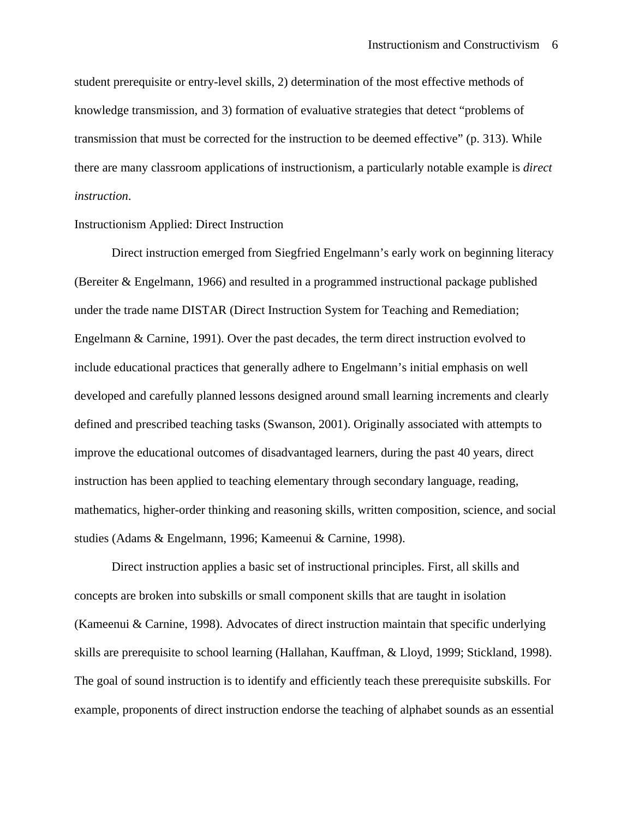student prerequisite or entry-level skills, 2) determination of the most effective methods of knowledge transmission, and 3) formation of evaluative strategies that detect "problems of transmission that must be corrected for the instruction to be deemed effective" (p. 313). While there are many classroom applications of instructionism, a particularly notable example is *direct instruction*.

# Instructionism Applied: Direct Instruction

Direct instruction emerged from Siegfried Engelmann's early work on beginning literacy (Bereiter & Engelmann, 1966) and resulted in a programmed instructional package published under the trade name DISTAR (Direct Instruction System for Teaching and Remediation; Engelmann & Carnine, 1991). Over the past decades, the term direct instruction evolved to include educational practices that generally adhere to Engelmann's initial emphasis on well developed and carefully planned lessons designed around small learning increments and clearly defined and prescribed teaching tasks (Swanson, 2001). Originally associated with attempts to improve the educational outcomes of disadvantaged learners, during the past 40 years, direct instruction has been applied to teaching elementary through secondary language, reading, mathematics, higher-order thinking and reasoning skills, written composition, science, and social studies (Adams & Engelmann, 1996; Kameenui & Carnine, 1998).

Direct instruction applies a basic set of instructional principles. First, all skills and concepts are broken into subskills or small component skills that are taught in isolation (Kameenui & Carnine, 1998). Advocates of direct instruction maintain that specific underlying skills are prerequisite to school learning (Hallahan, Kauffman, & Lloyd, 1999; Stickland, 1998). The goal of sound instruction is to identify and efficiently teach these prerequisite subskills. For example, proponents of direct instruction endorse the teaching of alphabet sounds as an essential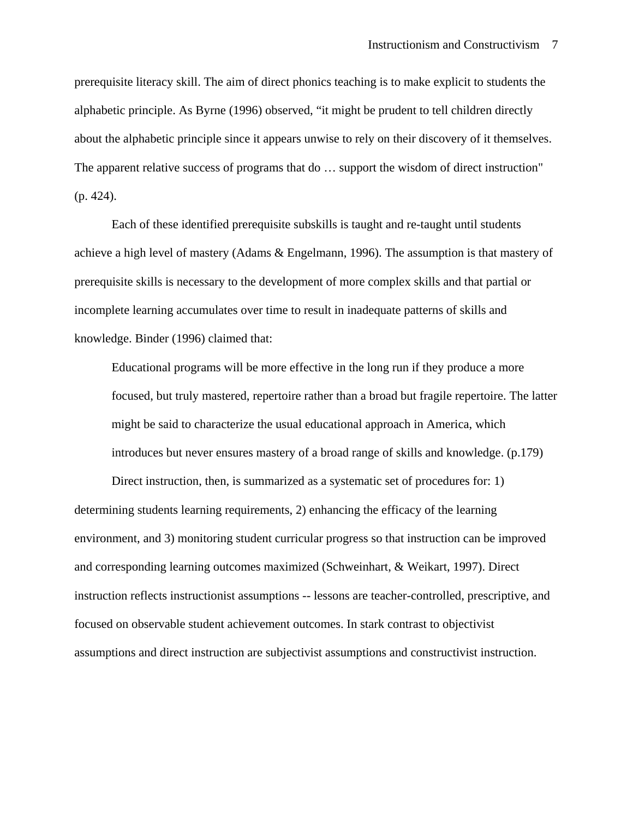prerequisite literacy skill. The aim of direct phonics teaching is to make explicit to students the alphabetic principle. As Byrne (1996) observed, "it might be prudent to tell children directly about the alphabetic principle since it appears unwise to rely on their discovery of it themselves. The apparent relative success of programs that do … support the wisdom of direct instruction" (p. 424).

Each of these identified prerequisite subskills is taught and re-taught until students achieve a high level of mastery (Adams & Engelmann, 1996). The assumption is that mastery of prerequisite skills is necessary to the development of more complex skills and that partial or incomplete learning accumulates over time to result in inadequate patterns of skills and knowledge. Binder (1996) claimed that:

Educational programs will be more effective in the long run if they produce a more focused, but truly mastered, repertoire rather than a broad but fragile repertoire. The latter might be said to characterize the usual educational approach in America, which introduces but never ensures mastery of a broad range of skills and knowledge. (p.179)

Direct instruction, then, is summarized as a systematic set of procedures for: 1) determining students learning requirements, 2) enhancing the efficacy of the learning environment, and 3) monitoring student curricular progress so that instruction can be improved and corresponding learning outcomes maximized (Schweinhart, & Weikart, 1997). Direct instruction reflects instructionist assumptions -- lessons are teacher-controlled, prescriptive, and focused on observable student achievement outcomes. In stark contrast to objectivist assumptions and direct instruction are subjectivist assumptions and constructivist instruction.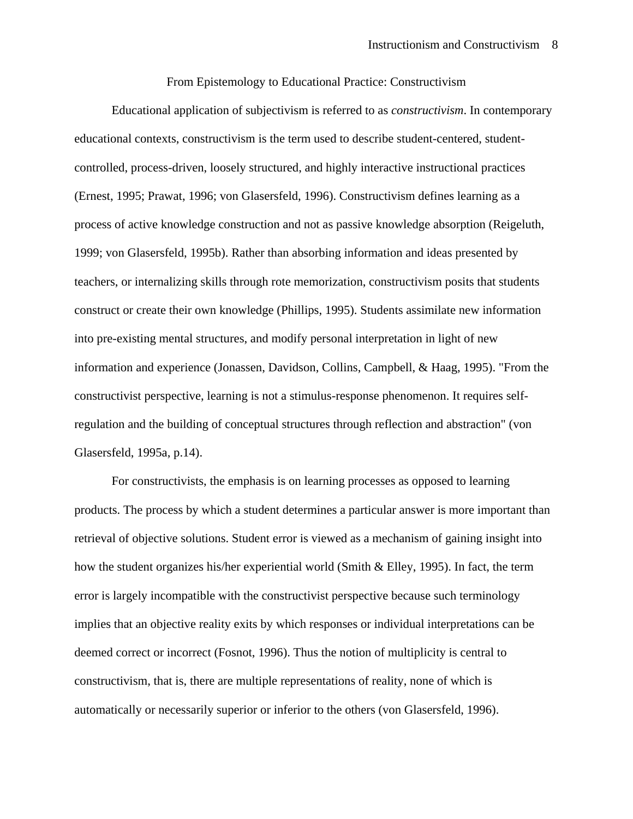From Epistemology to Educational Practice: Constructivism

Educational application of subjectivism is referred to as *constructivism*. In contemporary educational contexts, constructivism is the term used to describe student-centered, studentcontrolled, process-driven, loosely structured, and highly interactive instructional practices (Ernest, 1995; Prawat, 1996; von Glasersfeld, 1996). Constructivism defines learning as a process of active knowledge construction and not as passive knowledge absorption (Reigeluth, 1999; von Glasersfeld, 1995b). Rather than absorbing information and ideas presented by teachers, or internalizing skills through rote memorization, constructivism posits that students construct or create their own knowledge (Phillips, 1995). Students assimilate new information into pre-existing mental structures, and modify personal interpretation in light of new information and experience (Jonassen, Davidson, Collins, Campbell, & Haag, 1995). "From the constructivist perspective, learning is not a stimulus-response phenomenon. It requires selfregulation and the building of conceptual structures through reflection and abstraction" (von Glasersfeld, 1995a, p.14).

For constructivists, the emphasis is on learning processes as opposed to learning products. The process by which a student determines a particular answer is more important than retrieval of objective solutions. Student error is viewed as a mechanism of gaining insight into how the student organizes his/her experiential world (Smith & Elley, 1995). In fact, the term error is largely incompatible with the constructivist perspective because such terminology implies that an objective reality exits by which responses or individual interpretations can be deemed correct or incorrect (Fosnot, 1996). Thus the notion of multiplicity is central to constructivism, that is, there are multiple representations of reality, none of which is automatically or necessarily superior or inferior to the others (von Glasersfeld, 1996).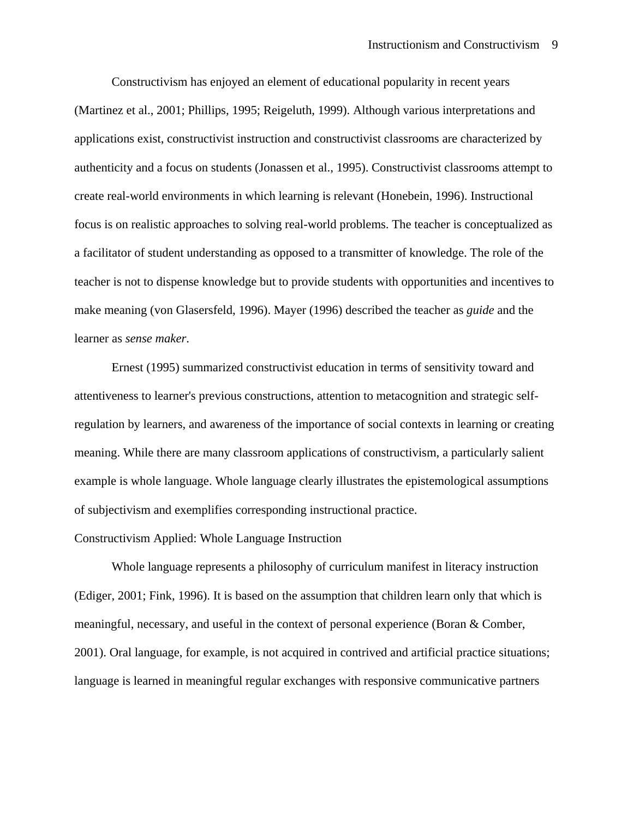Constructivism has enjoyed an element of educational popularity in recent years (Martinez et al., 2001; Phillips, 1995; Reigeluth, 1999). Although various interpretations and applications exist, constructivist instruction and constructivist classrooms are characterized by authenticity and a focus on students (Jonassen et al., 1995). Constructivist classrooms attempt to create real-world environments in which learning is relevant (Honebein, 1996). Instructional focus is on realistic approaches to solving real-world problems. The teacher is conceptualized as a facilitator of student understanding as opposed to a transmitter of knowledge. The role of the teacher is not to dispense knowledge but to provide students with opportunities and incentives to make meaning (von Glasersfeld, 1996). Mayer (1996) described the teacher as *guide* and the learner as *sense maker*.

Ernest (1995) summarized constructivist education in terms of sensitivity toward and attentiveness to learner's previous constructions, attention to metacognition and strategic selfregulation by learners, and awareness of the importance of social contexts in learning or creating meaning. While there are many classroom applications of constructivism, a particularly salient example is whole language. Whole language clearly illustrates the epistemological assumptions of subjectivism and exemplifies corresponding instructional practice.

### Constructivism Applied: Whole Language Instruction

Whole language represents a philosophy of curriculum manifest in literacy instruction (Ediger, 2001; Fink, 1996). It is based on the assumption that children learn only that which is meaningful, necessary, and useful in the context of personal experience (Boran & Comber, 2001). Oral language, for example, is not acquired in contrived and artificial practice situations; language is learned in meaningful regular exchanges with responsive communicative partners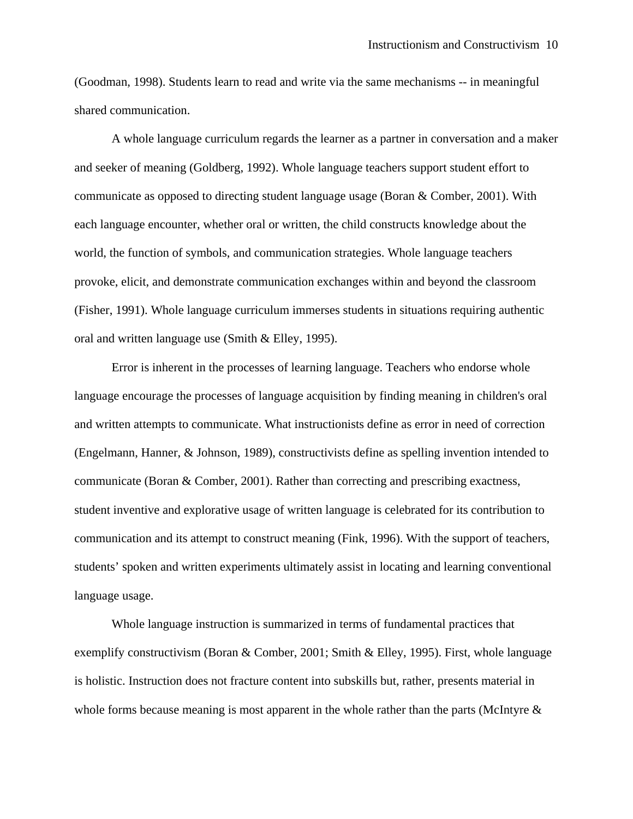(Goodman, 1998). Students learn to read and write via the same mechanisms -- in meaningful shared communication.

A whole language curriculum regards the learner as a partner in conversation and a maker and seeker of meaning (Goldberg, 1992). Whole language teachers support student effort to communicate as opposed to directing student language usage (Boran & Comber, 2001). With each language encounter, whether oral or written, the child constructs knowledge about the world, the function of symbols, and communication strategies. Whole language teachers provoke, elicit, and demonstrate communication exchanges within and beyond the classroom (Fisher, 1991). Whole language curriculum immerses students in situations requiring authentic oral and written language use (Smith & Elley, 1995).

Error is inherent in the processes of learning language. Teachers who endorse whole language encourage the processes of language acquisition by finding meaning in children's oral and written attempts to communicate. What instructionists define as error in need of correction (Engelmann, Hanner, & Johnson, 1989), constructivists define as spelling invention intended to communicate (Boran & Comber, 2001). Rather than correcting and prescribing exactness, student inventive and explorative usage of written language is celebrated for its contribution to communication and its attempt to construct meaning (Fink, 1996). With the support of teachers, students' spoken and written experiments ultimately assist in locating and learning conventional language usage.

Whole language instruction is summarized in terms of fundamental practices that exemplify constructivism (Boran & Comber, 2001; Smith & Elley, 1995). First, whole language is holistic. Instruction does not fracture content into subskills but, rather, presents material in whole forms because meaning is most apparent in the whole rather than the parts (McIntyre  $\&$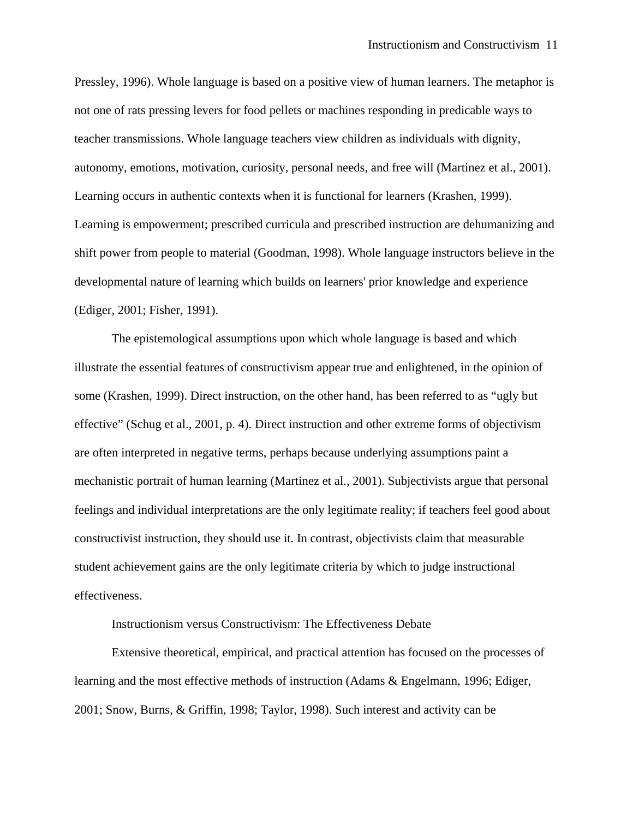Pressley, 1996). Whole language is based on a positive view of human learners. The metaphor is not one of rats pressing levers for food pellets or machines responding in predicable ways to teacher transmissions. Whole language teachers view children as individuals with dignity, autonomy, emotions, motivation, curiosity, personal needs, and free will (Martinez et al., 2001). Learning occurs in authentic contexts when it is functional for learners (Krashen, 1999). Learning is empowerment; prescribed curricula and prescribed instruction are dehumanizing and shift power from people to material (Goodman, 1998). Whole language instructors believe in the developmental nature of learning which builds on learners' prior knowledge and experience (Ediger, 2001; Fisher, 1991).

The epistemological assumptions upon which whole language is based and which illustrate the essential features of constructivism appear true and enlightened, in the opinion of some (Krashen, 1999). Direct instruction, on the other hand, has been referred to as "ugly but effective" (Schug et al., 2001, p. 4). Direct instruction and other extreme forms of objectivism are often interpreted in negative terms, perhaps because underlying assumptions paint a mechanistic portrait of human learning (Martinez et al., 2001). Subjectivists argue that personal feelings and individual interpretations are the only legitimate reality; if teachers feel good about constructivist instruction, they should use it. In contrast, objectivists claim that measurable student achievement gains are the only legitimate criteria by which to judge instructional effectiveness.

Instructionism versus Constructivism: The Effectiveness Debate

Extensive theoretical, empirical, and practical attention has focused on the processes of learning and the most effective methods of instruction (Adams & Engelmann, 1996; Ediger, 2001; Snow, Burns, & Griffin, 1998; Taylor, 1998). Such interest and activity can be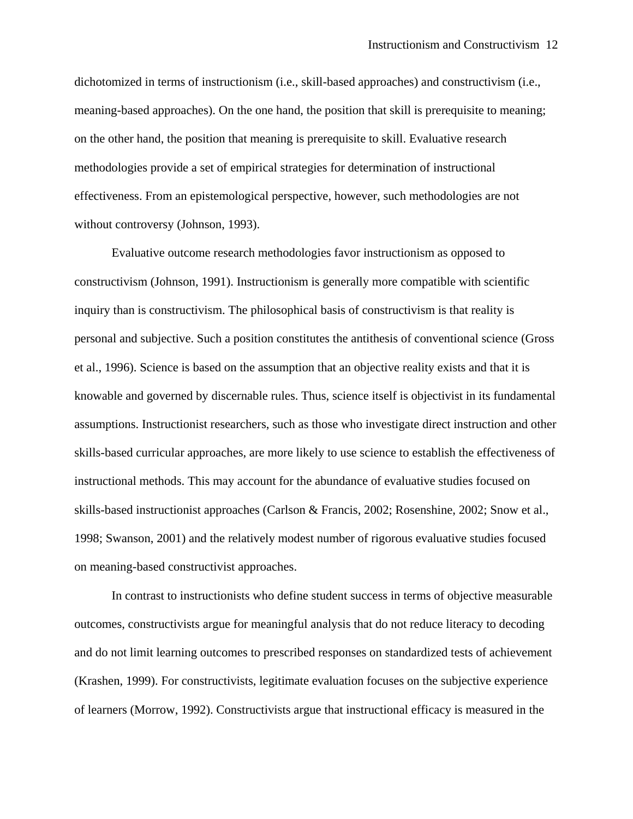dichotomized in terms of instructionism (i.e., skill-based approaches) and constructivism (i.e., meaning-based approaches). On the one hand, the position that skill is prerequisite to meaning; on the other hand, the position that meaning is prerequisite to skill. Evaluative research methodologies provide a set of empirical strategies for determination of instructional effectiveness. From an epistemological perspective, however, such methodologies are not without controversy (Johnson, 1993).

Evaluative outcome research methodologies favor instructionism as opposed to constructivism (Johnson, 1991). Instructionism is generally more compatible with scientific inquiry than is constructivism. The philosophical basis of constructivism is that reality is personal and subjective. Such a position constitutes the antithesis of conventional science (Gross et al., 1996). Science is based on the assumption that an objective reality exists and that it is knowable and governed by discernable rules. Thus, science itself is objectivist in its fundamental assumptions. Instructionist researchers, such as those who investigate direct instruction and other skills-based curricular approaches, are more likely to use science to establish the effectiveness of instructional methods. This may account for the abundance of evaluative studies focused on skills-based instructionist approaches (Carlson & Francis, 2002; Rosenshine, 2002; Snow et al., 1998; Swanson, 2001) and the relatively modest number of rigorous evaluative studies focused on meaning-based constructivist approaches.

 In contrast to instructionists who define student success in terms of objective measurable outcomes, constructivists argue for meaningful analysis that do not reduce literacy to decoding and do not limit learning outcomes to prescribed responses on standardized tests of achievement (Krashen, 1999). For constructivists, legitimate evaluation focuses on the subjective experience of learners (Morrow, 1992). Constructivists argue that instructional efficacy is measured in the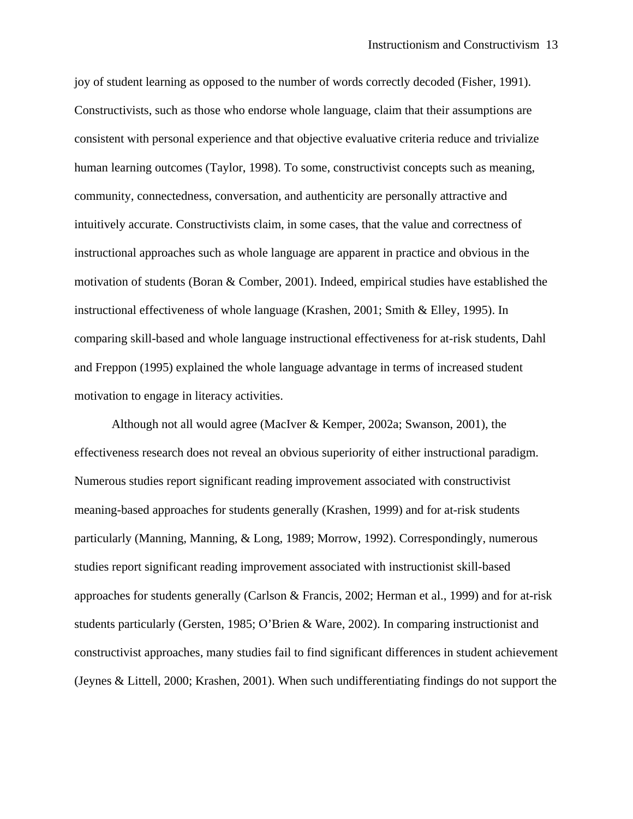joy of student learning as opposed to the number of words correctly decoded (Fisher, 1991). Constructivists, such as those who endorse whole language, claim that their assumptions are consistent with personal experience and that objective evaluative criteria reduce and trivialize human learning outcomes (Taylor, 1998). To some, constructivist concepts such as meaning, community, connectedness, conversation, and authenticity are personally attractive and intuitively accurate. Constructivists claim, in some cases, that the value and correctness of instructional approaches such as whole language are apparent in practice and obvious in the motivation of students (Boran & Comber, 2001). Indeed, empirical studies have established the instructional effectiveness of whole language (Krashen, 2001; Smith & Elley, 1995). In comparing skill-based and whole language instructional effectiveness for at-risk students, Dahl and Freppon (1995) explained the whole language advantage in terms of increased student motivation to engage in literacy activities.

Although not all would agree (MacIver & Kemper, 2002a; Swanson, 2001), the effectiveness research does not reveal an obvious superiority of either instructional paradigm. Numerous studies report significant reading improvement associated with constructivist meaning-based approaches for students generally (Krashen, 1999) and for at-risk students particularly (Manning, Manning, & Long, 1989; Morrow, 1992). Correspondingly, numerous studies report significant reading improvement associated with instructionist skill-based approaches for students generally (Carlson & Francis, 2002; Herman et al., 1999) and for at-risk students particularly (Gersten, 1985; O'Brien & Ware, 2002). In comparing instructionist and constructivist approaches, many studies fail to find significant differences in student achievement (Jeynes & Littell, 2000; Krashen, 2001). When such undifferentiating findings do not support the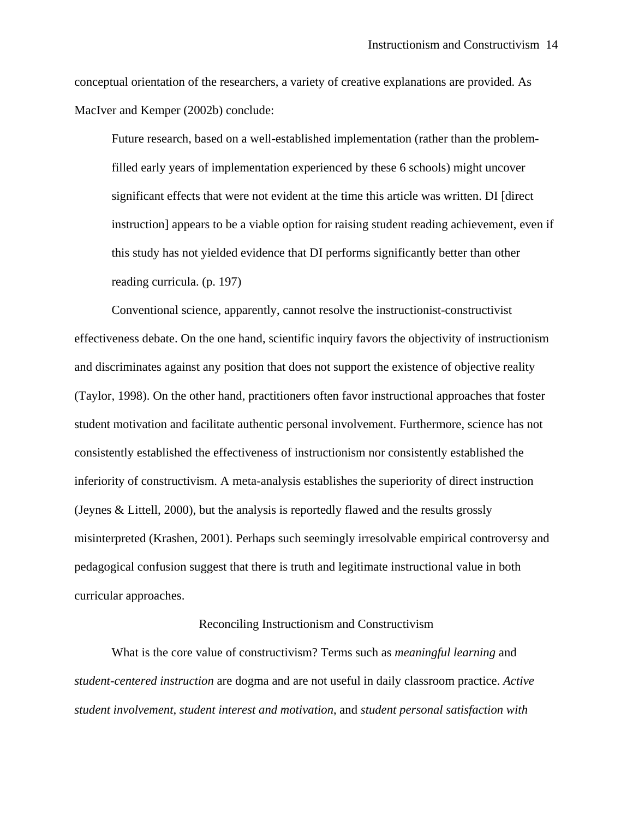conceptual orientation of the researchers, a variety of creative explanations are provided. As MacIver and Kemper (2002b) conclude:

Future research, based on a well-established implementation (rather than the problemfilled early years of implementation experienced by these 6 schools) might uncover significant effects that were not evident at the time this article was written. DI [direct instruction] appears to be a viable option for raising student reading achievement, even if this study has not yielded evidence that DI performs significantly better than other reading curricula. (p. 197)

Conventional science, apparently, cannot resolve the instructionist-constructivist effectiveness debate. On the one hand, scientific inquiry favors the objectivity of instructionism and discriminates against any position that does not support the existence of objective reality (Taylor, 1998). On the other hand, practitioners often favor instructional approaches that foster student motivation and facilitate authentic personal involvement. Furthermore, science has not consistently established the effectiveness of instructionism nor consistently established the inferiority of constructivism. A meta-analysis establishes the superiority of direct instruction (Jeynes & Littell, 2000), but the analysis is reportedly flawed and the results grossly misinterpreted (Krashen, 2001). Perhaps such seemingly irresolvable empirical controversy and pedagogical confusion suggest that there is truth and legitimate instructional value in both curricular approaches.

# Reconciling Instructionism and Constructivism

What is the core value of constructivism? Terms such as *meaningful learning* and *student-centered instruction* are dogma and are not useful in daily classroom practice. *Active student involvement*, *student interest and motivation*, and *student personal satisfaction with*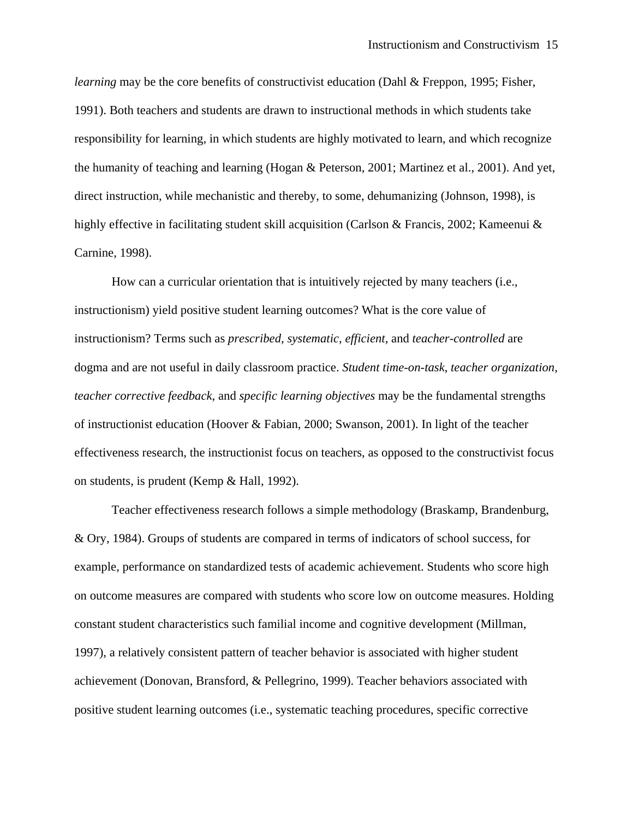*learning* may be the core benefits of constructivist education (Dahl & Freppon, 1995; Fisher, 1991). Both teachers and students are drawn to instructional methods in which students take responsibility for learning, in which students are highly motivated to learn, and which recognize the humanity of teaching and learning (Hogan & Peterson, 2001; Martinez et al., 2001). And yet, direct instruction, while mechanistic and thereby, to some, dehumanizing (Johnson, 1998), is highly effective in facilitating student skill acquisition (Carlson & Francis, 2002; Kameenui & Carnine, 1998).

How can a curricular orientation that is intuitively rejected by many teachers (i.e., instructionism) yield positive student learning outcomes? What is the core value of instructionism? Terms such as *prescribed, systematic, efficient*, and *teacher-controlled* are dogma and are not useful in daily classroom practice. *Student time-on-task*, *teacher organization*, *teacher corrective feedback*, and *specific learning objectives* may be the fundamental strengths of instructionist education (Hoover & Fabian, 2000; Swanson, 2001). In light of the teacher effectiveness research, the instructionist focus on teachers, as opposed to the constructivist focus on students, is prudent (Kemp & Hall, 1992).

Teacher effectiveness research follows a simple methodology (Braskamp, Brandenburg, & Ory, 1984). Groups of students are compared in terms of indicators of school success, for example, performance on standardized tests of academic achievement. Students who score high on outcome measures are compared with students who score low on outcome measures. Holding constant student characteristics such familial income and cognitive development (Millman, 1997), a relatively consistent pattern of teacher behavior is associated with higher student achievement (Donovan, Bransford, & Pellegrino, 1999). Teacher behaviors associated with positive student learning outcomes (i.e., systematic teaching procedures, specific corrective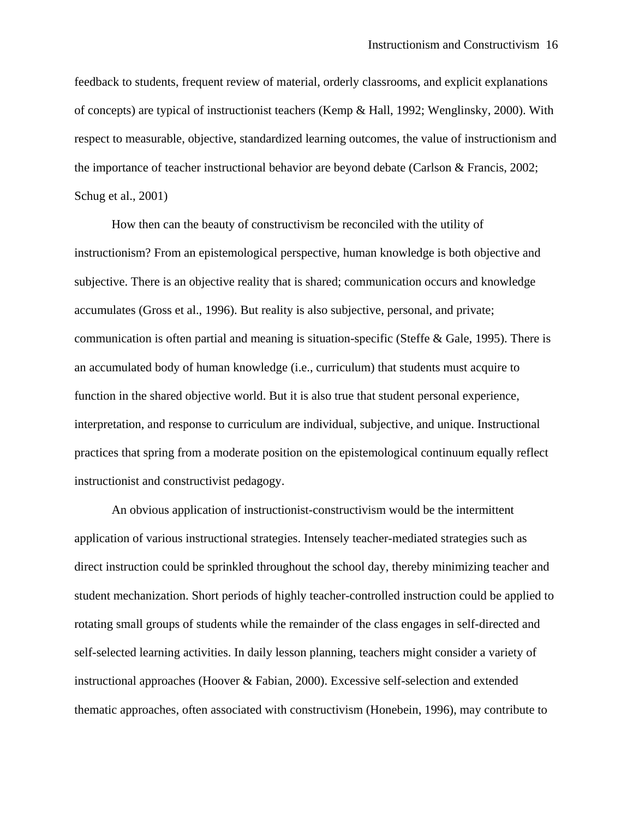feedback to students, frequent review of material, orderly classrooms, and explicit explanations of concepts) are typical of instructionist teachers (Kemp & Hall, 1992; Wenglinsky, 2000). With respect to measurable, objective, standardized learning outcomes, the value of instructionism and the importance of teacher instructional behavior are beyond debate (Carlson & Francis, 2002; Schug et al., 2001)

How then can the beauty of constructivism be reconciled with the utility of instructionism? From an epistemological perspective, human knowledge is both objective and subjective. There is an objective reality that is shared; communication occurs and knowledge accumulates (Gross et al., 1996). But reality is also subjective, personal, and private; communication is often partial and meaning is situation-specific (Steffe & Gale, 1995). There is an accumulated body of human knowledge (i.e., curriculum) that students must acquire to function in the shared objective world. But it is also true that student personal experience, interpretation, and response to curriculum are individual, subjective, and unique. Instructional practices that spring from a moderate position on the epistemological continuum equally reflect instructionist and constructivist pedagogy.

An obvious application of instructionist-constructivism would be the intermittent application of various instructional strategies. Intensely teacher-mediated strategies such as direct instruction could be sprinkled throughout the school day, thereby minimizing teacher and student mechanization. Short periods of highly teacher-controlled instruction could be applied to rotating small groups of students while the remainder of the class engages in self-directed and self-selected learning activities. In daily lesson planning, teachers might consider a variety of instructional approaches (Hoover & Fabian, 2000). Excessive self-selection and extended thematic approaches, often associated with constructivism (Honebein, 1996), may contribute to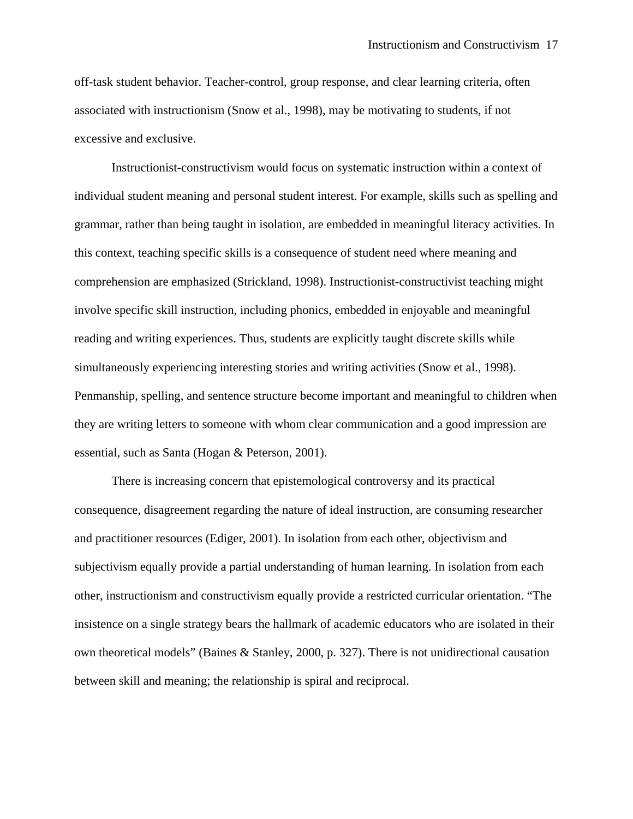off-task student behavior. Teacher-control, group response, and clear learning criteria, often associated with instructionism (Snow et al., 1998), may be motivating to students, if not excessive and exclusive.

Instructionist-constructivism would focus on systematic instruction within a context of individual student meaning and personal student interest. For example, skills such as spelling and grammar, rather than being taught in isolation, are embedded in meaningful literacy activities. In this context, teaching specific skills is a consequence of student need where meaning and comprehension are emphasized (Strickland, 1998). Instructionist-constructivist teaching might involve specific skill instruction, including phonics, embedded in enjoyable and meaningful reading and writing experiences. Thus, students are explicitly taught discrete skills while simultaneously experiencing interesting stories and writing activities (Snow et al., 1998). Penmanship, spelling, and sentence structure become important and meaningful to children when they are writing letters to someone with whom clear communication and a good impression are essential, such as Santa (Hogan & Peterson, 2001).

There is increasing concern that epistemological controversy and its practical consequence, disagreement regarding the nature of ideal instruction, are consuming researcher and practitioner resources (Ediger, 2001). In isolation from each other, objectivism and subjectivism equally provide a partial understanding of human learning. In isolation from each other, instructionism and constructivism equally provide a restricted curricular orientation. "The insistence on a single strategy bears the hallmark of academic educators who are isolated in their own theoretical models" (Baines & Stanley, 2000, p. 327). There is not unidirectional causation between skill and meaning; the relationship is spiral and reciprocal.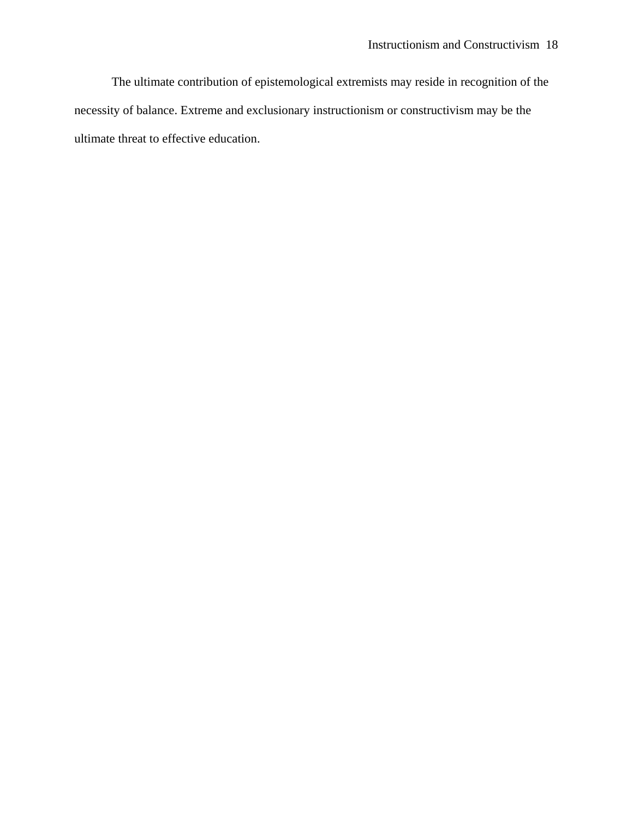The ultimate contribution of epistemological extremists may reside in recognition of the necessity of balance. Extreme and exclusionary instructionism or constructivism may be the ultimate threat to effective education.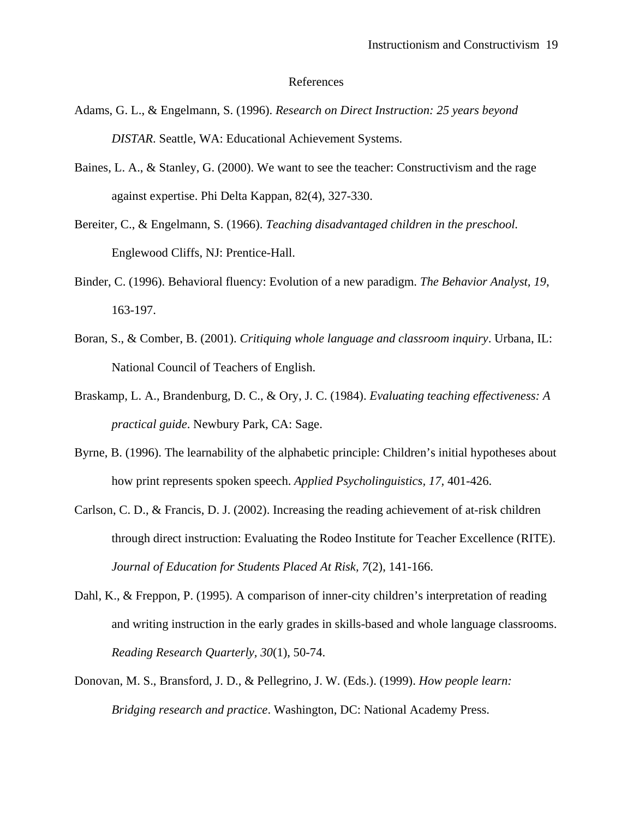### References

- Adams, G. L., & Engelmann, S. (1996). *Research on Direct Instruction: 25 years beyond DISTAR*. Seattle, WA: Educational Achievement Systems.
- Baines, L. A., & Stanley, G. (2000). We want to see the teacher: Constructivism and the rage against expertise. Phi Delta Kappan, 82(4), 327-330.
- Bereiter, C., & Engelmann, S. (1966). *Teaching disadvantaged children in the preschool.* Englewood Cliffs, NJ: Prentice-Hall.
- Binder, C. (1996). Behavioral fluency: Evolution of a new paradigm. *The Behavior Analyst, 19*, 163-197.
- Boran, S., & Comber, B. (2001). *Critiquing whole language and classroom inquiry*. Urbana, IL: National Council of Teachers of English.
- Braskamp, L. A., Brandenburg, D. C., & Ory, J. C. (1984). *Evaluating teaching effectiveness: A practical guide*. Newbury Park, CA: Sage.
- Byrne, B. (1996). The learnability of the alphabetic principle: Children's initial hypotheses about how print represents spoken speech. *Applied Psycholinguistics, 17,* 401-426.
- Carlson, C. D., & Francis, D. J. (2002). Increasing the reading achievement of at-risk children through direct instruction: Evaluating the Rodeo Institute for Teacher Excellence (RITE). *Journal of Education for Students Placed At Risk, 7*(2), 141-166.
- Dahl, K., & Freppon, P. (1995). A comparison of inner-city children's interpretation of reading and writing instruction in the early grades in skills-based and whole language classrooms. *Reading Research Quarterly, 30*(1), 50-74.
- Donovan, M. S., Bransford, J. D., & Pellegrino, J. W. (Eds.). (1999). *How people learn: Bridging research and practice*. Washington, DC: National Academy Press.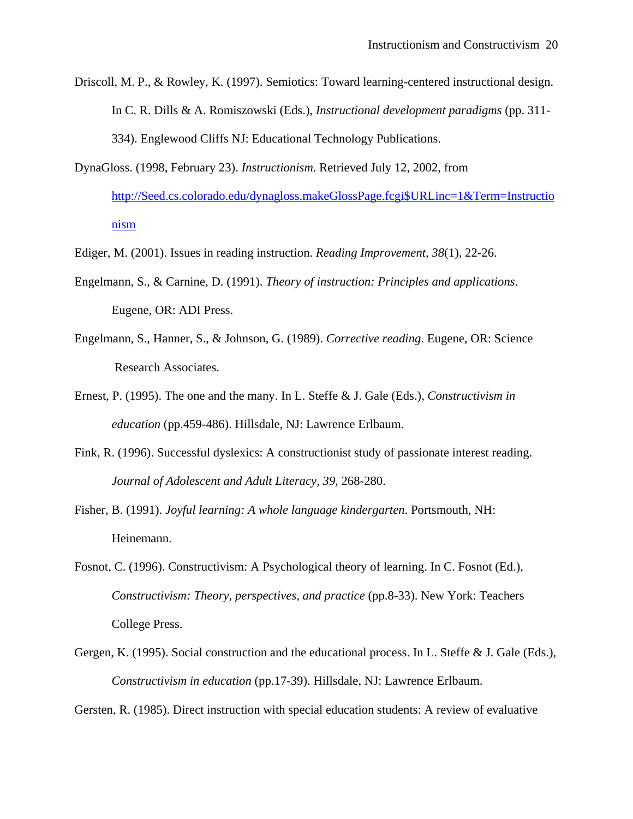- Driscoll, M. P., & Rowley, K. (1997). Semiotics: Toward learning-centered instructional design. In C. R. Dills & A. Romiszowski (Eds.), *Instructional development paradigms* (pp. 311- 334). Englewood Cliffs NJ: Educational Technology Publications.
- DynaGloss. (1998, February 23). *Instructionism*. Retrieved July 12, 2002, from [http://Seed.cs.colorado.edu/dynagloss.makeGlossPage.fcgi\\$URLinc=1&Term=Instructio](http://seed.cs.colorado.edu/dynagloss.makeGlossPage.fcgi$URLinc=1&Term=Instructionism) [nism](http://seed.cs.colorado.edu/dynagloss.makeGlossPage.fcgi$URLinc=1&Term=Instructionism)
- Ediger, M. (2001). Issues in reading instruction. *Reading Improvement, 38*(1), 22-26.
- Engelmann, S., & Carnine, D. (1991). *Theory of instruction: Principles and applications*. Eugene, OR: ADI Press.
- Engelmann, S., Hanner, S., & Johnson, G. (1989). *Corrective reading*. Eugene, OR: Science Research Associates.
- Ernest, P. (1995). The one and the many. In L. Steffe & J. Gale (Eds.), *Constructivism in education* (pp.459-486). Hillsdale, NJ: Lawrence Erlbaum.
- Fink, R. (1996). Successful dyslexics: A constructionist study of passionate interest reading. *Journal of Adolescent and Adult Literacy, 39*, 268-280.
- Fisher, B. (1991). *Joyful learning: A whole language kindergarten*. Portsmouth, NH: Heinemann.
- Fosnot, C. (1996). Constructivism: A Psychological theory of learning. In C. Fosnot (Ed.), *Constructivism: Theory, perspectives, and practice* (pp.8-33). New York: Teachers College Press.
- Gergen, K. (1995). Social construction and the educational process. In L. Steffe & J. Gale (Eds.), *Constructivism in education* (pp.17-39). Hillsdale, NJ: Lawrence Erlbaum.

Gersten, R. (1985). Direct instruction with special education students: A review of evaluative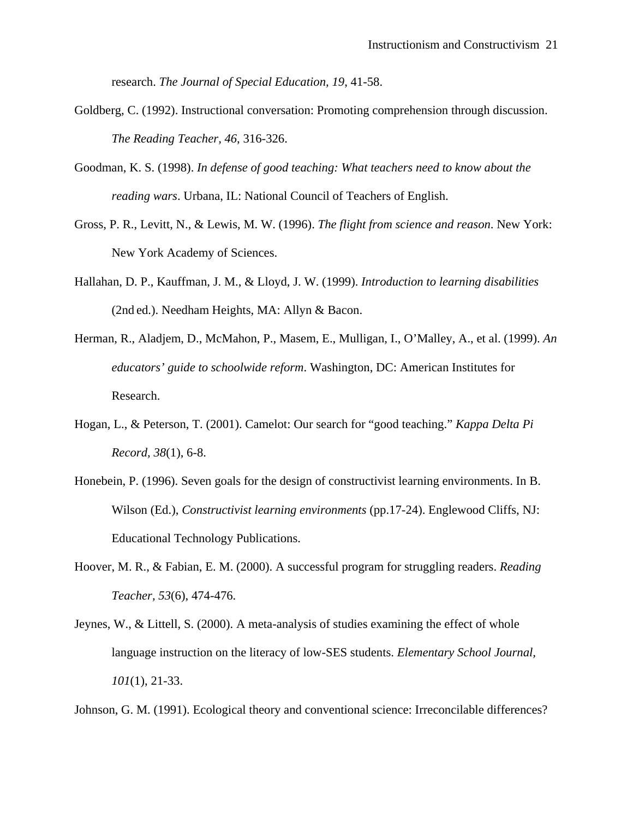research. *The Journal of Special Education, 19*, 41-58.

- Goldberg, C. (1992). Instructional conversation: Promoting comprehension through discussion. *The Reading Teacher, 46*, 316-326.
- Goodman, K. S. (1998). *In defense of good teaching: What teachers need to know about the reading wars*. Urbana, IL: National Council of Teachers of English.
- Gross, P. R., Levitt, N., & Lewis, M. W. (1996). *The flight from science and reason*. New York: New York Academy of Sciences.
- Hallahan, D. P., Kauffman, J. M., & Lloyd, J. W. (1999). *Introduction to learning disabilities* (2nd ed.). Needham Heights, MA: Allyn & Bacon.
- Herman, R., Aladjem, D., McMahon, P., Masem, E., Mulligan, I., O'Malley, A., et al. (1999). *An educators' guide to schoolwide reform*. Washington, DC: American Institutes for Research.
- Hogan, L., & Peterson, T. (2001). Camelot: Our search for "good teaching." *Kappa Delta Pi Record, 38*(1), 6-8.
- Honebein, P. (1996). Seven goals for the design of constructivist learning environments. In B. Wilson (Ed.), *Constructivist learning environments* (pp.17-24). Englewood Cliffs, NJ: Educational Technology Publications.
- Hoover, M. R., & Fabian, E. M. (2000). A successful program for struggling readers. *Reading Teacher, 53*(6), 474-476.
- Jeynes, W., & Littell, S. (2000). A meta-analysis of studies examining the effect of whole language instruction on the literacy of low-SES students. *Elementary School Journal, 101*(1), 21-33.

Johnson, G. M. (1991). Ecological theory and conventional science: Irreconcilable differences?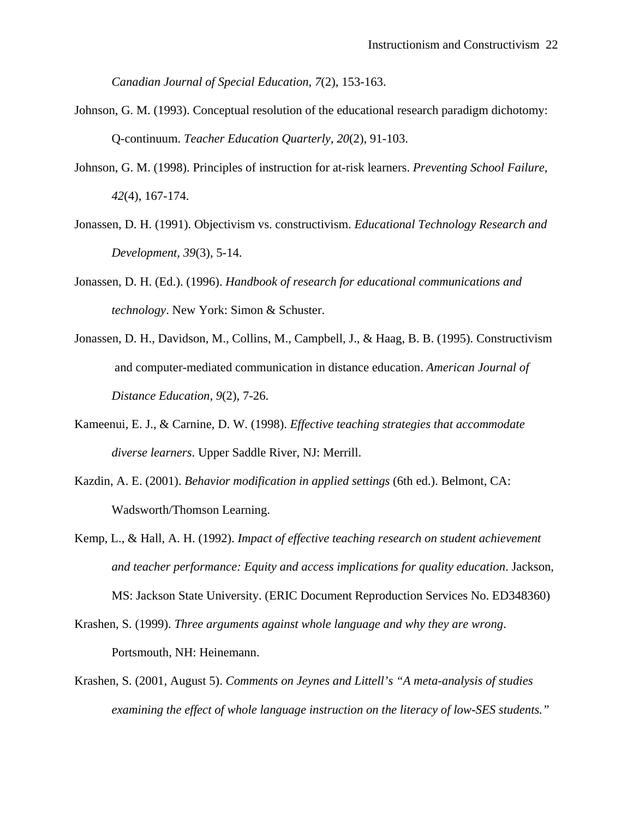*Canadian Journal of Special Education, 7*(2), 153-163.

- Johnson, G. M. (1993). Conceptual resolution of the educational research paradigm dichotomy: Q-continuum. *Teacher Education Quarterly, 20*(2), 91-103.
- Johnson, G. M. (1998). Principles of instruction for at-risk learners. *Preventing School Failure, 42*(4), 167-174.
- Jonassen, D. H. (1991). Objectivism vs. constructivism. *Educational Technology Research and Development, 39*(3), 5-14.
- Jonassen, D. H. (Ed.). (1996). *Handbook of research for educational communications and technology*. New York: Simon & Schuster.
- Jonassen, D. H., Davidson, M., Collins, M., Campbell, J., & Haag, B. B. (1995). Constructivism and computer-mediated communication in distance education. *American Journal of Distance Education, 9*(2), 7-26.
- Kameenui, E. J., & Carnine, D. W. (1998). *Effective teaching strategies that accommodate diverse learners*. Upper Saddle River, NJ: Merrill.
- Kazdin, A. E. (2001). *Behavior modification in applied settings* (6th ed.). Belmont, CA: Wadsworth/Thomson Learning.
- Kemp, L., & Hall, A. H. (1992). *Impact of effective teaching research on student achievement and teacher performance: Equity and access implications for quality education*. Jackson, MS: Jackson State University. (ERIC Document Reproduction Services No. ED348360)
- Krashen, S. (1999). *Three arguments against whole language and why they are wrong*. Portsmouth, NH: Heinemann.
- Krashen, S. (2001, August 5). *Comments on Jeynes and Littell's "A meta-analysis of studies examining the effect of whole language instruction on the literacy of low-SES students."*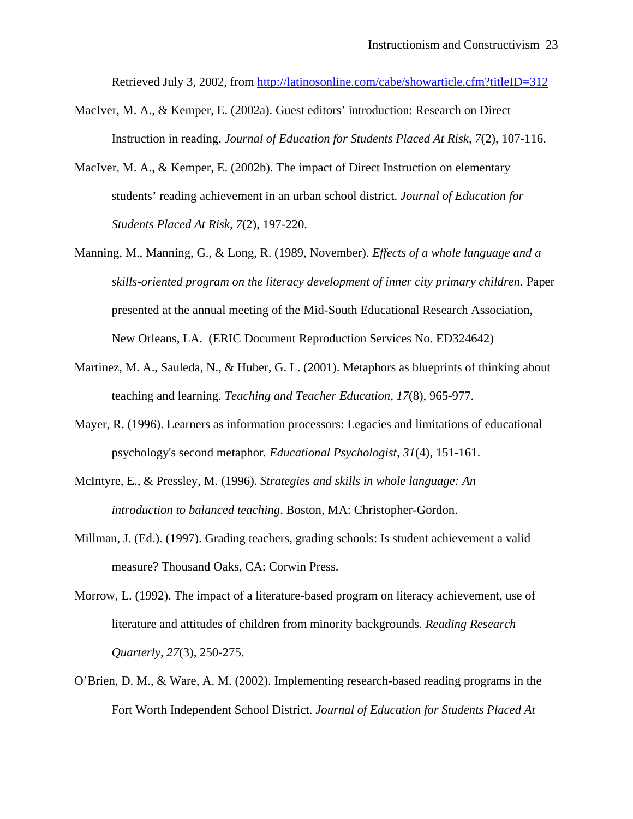Retrieved July 3, 2002, from <http://latinosonline.com/cabe/showarticle.cfm?titleID=312>

- MacIver, M. A., & Kemper, E. (2002a). Guest editors' introduction: Research on Direct Instruction in reading. *Journal of Education for Students Placed At Risk, 7*(2), 107-116.
- MacIver, M. A., & Kemper, E. (2002b). The impact of Direct Instruction on elementary students' reading achievement in an urban school district. *Journal of Education for Students Placed At Risk, 7*(2), 197-220.
- Manning, M., Manning, G., & Long, R. (1989, November). *Effects of a whole language and a skills-oriented program on the literacy development of inner city primary children*. Paper presented at the annual meeting of the Mid-South Educational Research Association, New Orleans, LA. (ERIC Document Reproduction Services No. ED324642)
- Martinez, M. A., Sauleda, N., & Huber, G. L. (2001). Metaphors as blueprints of thinking about teaching and learning. *Teaching and Teacher Education, 17*(8), 965-977.
- Mayer, R. (1996). Learners as information processors: Legacies and limitations of educational psychology's second metaphor*. Educational Psychologist, 31*(4), 151-161.
- McIntyre, E., & Pressley, M. (1996). *Strategies and skills in whole language: An introduction to balanced teaching*. Boston, MA: Christopher-Gordon.
- Millman, J. (Ed.). (1997). Grading teachers, grading schools: Is student achievement a valid measure? Thousand Oaks, CA: Corwin Press.
- Morrow, L. (1992). The impact of a literature-based program on literacy achievement, use of literature and attitudes of children from minority backgrounds. *Reading Research Quarterly, 27*(3), 250-275.
- O'Brien, D. M., & Ware, A. M. (2002). Implementing research-based reading programs in the Fort Worth Independent School District. *Journal of Education for Students Placed At*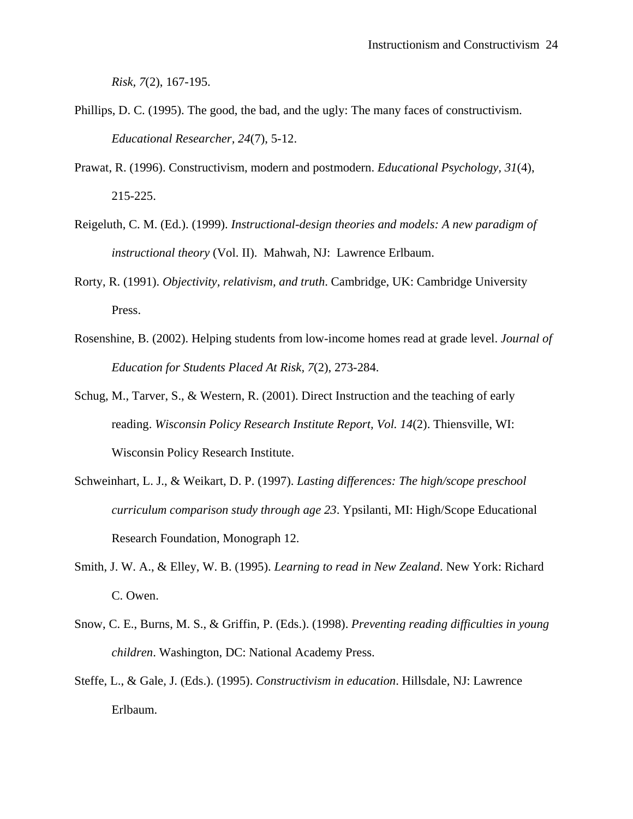*Risk, 7*(2), 167-195.

- Phillips, D. C. (1995). The good, the bad, and the ugly: The many faces of constructivism. *Educational Researcher, 24*(7), 5-12.
- Prawat, R. (1996). Constructivism, modern and postmodern. *Educational Psychology, 31*(4), 215-225.
- Reigeluth, C. M. (Ed.). (1999). *Instructional-design theories and models: A new paradigm of instructional theory* (Vol. II). Mahwah, NJ: Lawrence Erlbaum.
- Rorty, R. (1991). *Objectivity, relativism, and truth*. Cambridge, UK: Cambridge University Press.
- Rosenshine, B. (2002). Helping students from low-income homes read at grade level. *Journal of Education for Students Placed At Risk, 7*(2), 273-284.
- Schug, M., Tarver, S., & Western, R. (2001). Direct Instruction and the teaching of early reading. *Wisconsin Policy Research Institute Report, Vol. 14*(2). Thiensville, WI: Wisconsin Policy Research Institute.
- Schweinhart, L. J., & Weikart, D. P. (1997). *Lasting differences: The high/scope preschool curriculum comparison study through age 23*. Ypsilanti, MI: High/Scope Educational Research Foundation, Monograph 12.
- Smith, J. W. A., & Elley, W. B. (1995). *Learning to read in New Zealand*. New York: Richard C. Owen.
- Snow, C. E., Burns, M. S., & Griffin, P. (Eds.). (1998). *Preventing reading difficulties in young children*. Washington, DC: National Academy Press.
- Steffe, L., & Gale, J. (Eds.). (1995). *Constructivism in education*. Hillsdale, NJ: Lawrence Erlbaum.